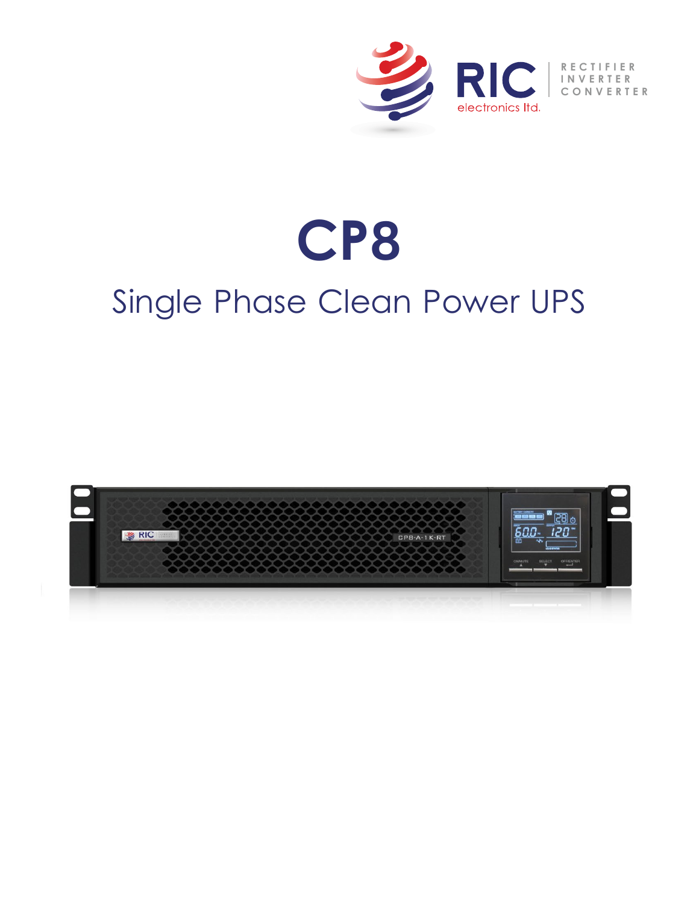

## **CP8** Single Phase Clean Power UPS

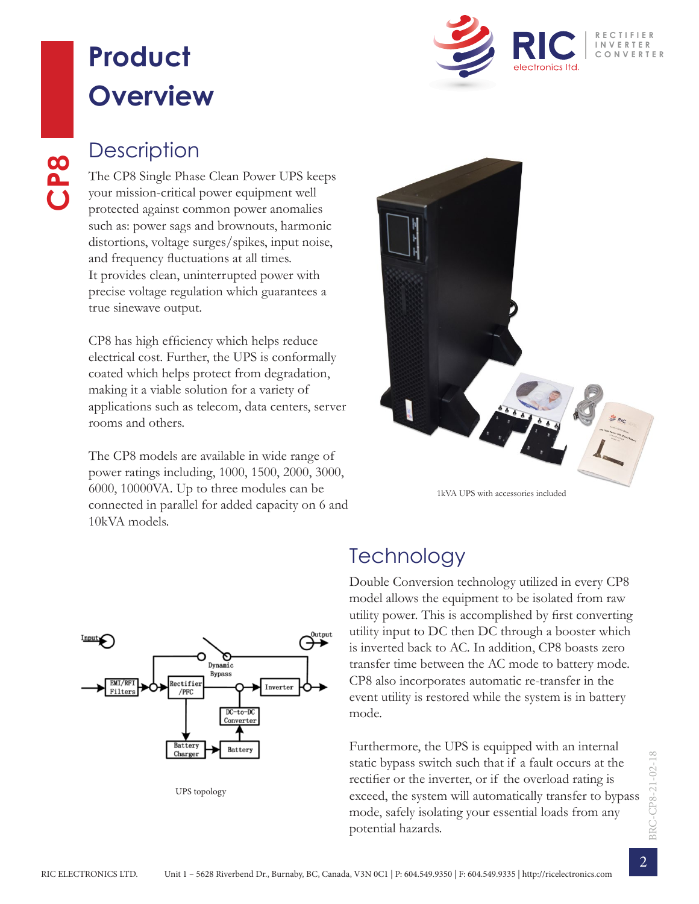### **Product Overview**



**CP8** Single Phase your mission-critical The CP8 Single Phase Clean Power UPS keeps your mission-critical power equipment well protected against common power anomalies such as: power sags and brownouts, harmonic distortions, voltage surges/spikes, input noise, and frequency fluctuations at all times. It provides clean, uninterrupted power with precise voltage regulation which guarantees a true sinewave output.

> CP8 has high efficiency which helps reduce electrical cost. Further, the UPS is conformally coated which helps protect from degradation, making it a viable solution for a variety of applications such as telecom, data centers, server rooms and others.

> The CP8 models are available in wide range of power ratings including, 1000, 1500, 2000, 3000, 6000, 10000VA. Up to three modules can be connected in parallel for added capacity on 6 and 10kVA models.



1kVA UPS with accessories included



UPS topology

#### **Technology**

Double Conversion technology utilized in every CP8 model allows the equipment to be isolated from raw utility power. This is accomplished by first converting utility input to DC then DC through a booster which is inverted back to AC. In addition, CP8 boasts zero transfer time between the AC mode to battery mode. CP8 also incorporates automatic re-transfer in the event utility is restored while the system is in battery mode.

Furthermore, the UPS is equipped with an internal static bypass switch such that if a fault occurs at the rectifier or the inverter, or if the overload rating is exceed, the system will automatically transfer to bypass mode, safely isolating your essential loads from any potential hazards.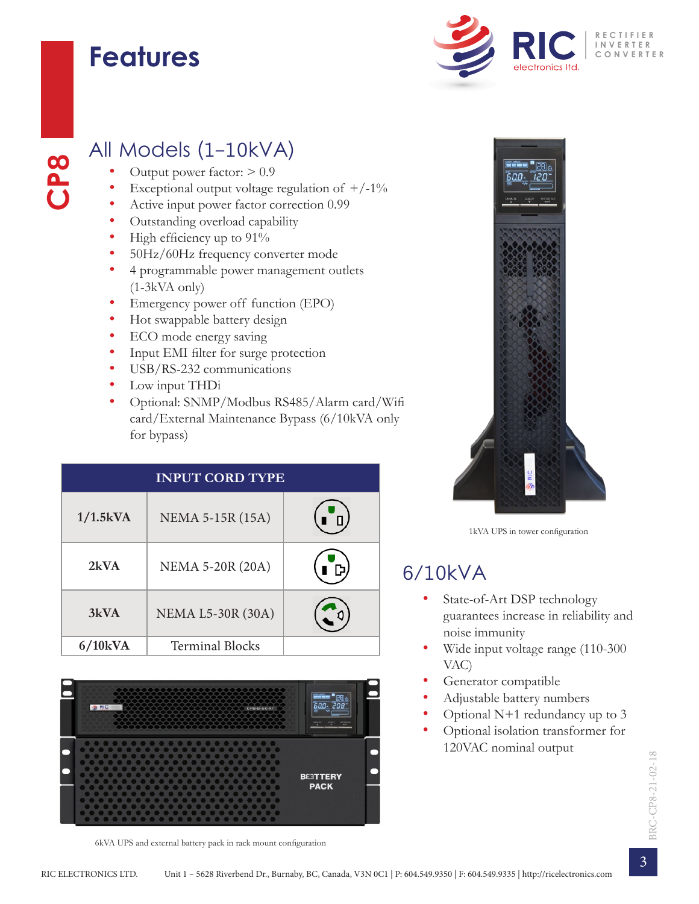### **Features**

**CP8**



#### All Models (1-10kVA)

- Output power factor:  $> 0.9$
- Exceptional output voltage regulation of  $+/-1\%$
- Active input power factor correction 0.99
- Outstanding overload capability
- High efficiency up to 91%
- 50Hz/60Hz frequency converter mode
- 4 programmable power management outlets (1-3kVA only)
- Emergency power off function (EPO)
- Hot swappable battery design
- ECO mode energy saving
- Input EMI filter for surge protection
- USB/RS-232 communications
- Low input THDi
- Optional: SNMP/Modbus RS485/Alarm card/Wifi card/External Maintenance Bypass (6/10kVA only for bypass)

| <b>INPUT CORD TYPE</b> |                          |    |  |  |  |
|------------------------|--------------------------|----|--|--|--|
| $1/1.5$ kVA            | NEMA 5-15R (15A)         |    |  |  |  |
| 2kVA                   | <b>NEMA 5-20R (20A)</b>  | D. |  |  |  |
| 3kVA                   | <b>NEMA L5-30R (30A)</b> |    |  |  |  |
| $6/10$ kVA             | <b>Terminal Blocks</b>   |    |  |  |  |



6kVA UPS and external battery pack in rack mount configuration



1kVA UPS in tower configuration

#### 6/10kVA

- State-of-Art DSP technology guarantees increase in reliability and noise immunity
- Wide input voltage range (110-300 VAC)
- Generator compatible
- Adjustable battery numbers
- Optional N+1 redundancy up to 3
- Optional isolation transformer for 120VAC nominal output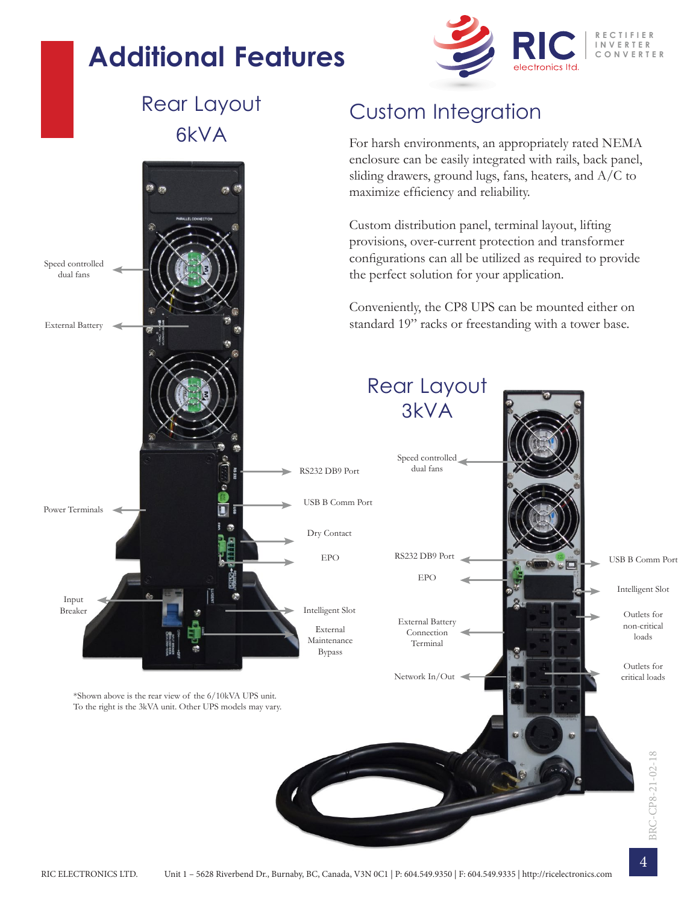### **Additional Features**



#### Rear Layout 6kVA

Speed controlled dual fans

External Battery

#### Custom Integration

For harsh environments, an appropriately rated NEMA enclosure can be easily integrated with rails, back panel, sliding drawers, ground lugs, fans, heaters, and A/C to maximize efficiency and reliability.

Custom distribution panel, terminal layout, lifting provisions, over-current protection and transformer configurations can all be utilized as required to provide the perfect solution for your application.

Conveniently, the CP8 UPS can be mounted either on standard 19" racks or freestanding with a tower base.

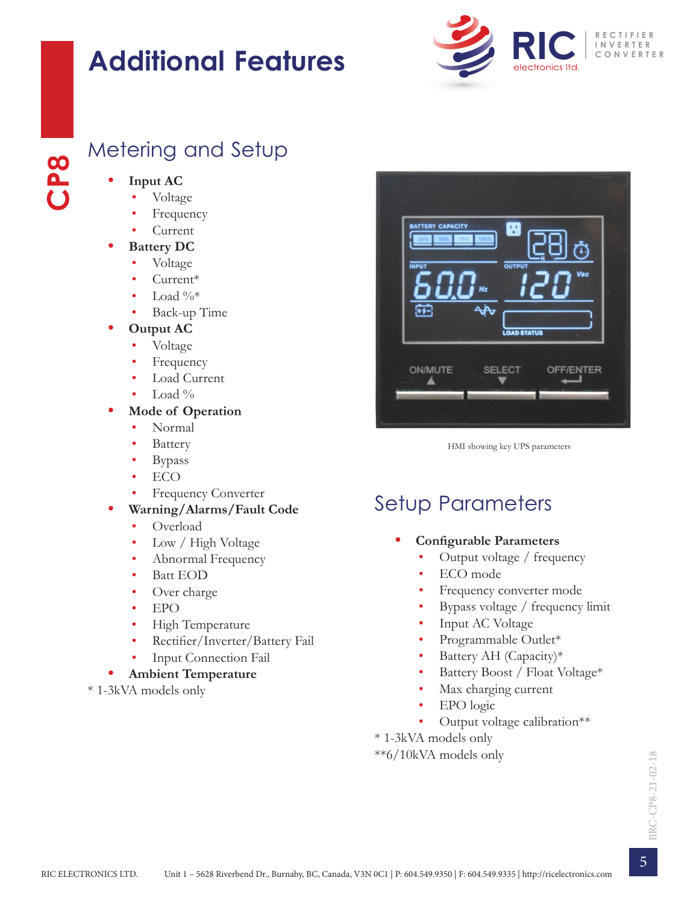### **Additional Features**



# **CP8**Metering and Setup

- **• Input AC**
	- Voltage
	- **Frequency**
	- Current
- **• Battery DC**
	- Voltage
	- Current\*
	- Load  $\%*$
	- Back-up Time
- **• Output AC**
	- Voltage
	- **Frequency**
	- Load Current
	- Load  $\%$
- **• Mode of Operation**
	- Normal
	- **Battery**
	- Bypass
	- ECO
	- **Frequency Converter**
- **• Warning/Alarms/Fault Code**
	- Overload
	- Low / High Voltage
	- Abnormal Frequency
	- Batt EOD
	- Over charge
	- EPO
	- High Temperature
	- Rectifier/Inverter/Battery Fail
	- Input Connection Fail

#### **• Ambient Temperature**

\* 1-3kVA models only



HMI showing key UPS parameters

### Setup Parameters

- **• Configurable Parameters**
	- Output voltage / frequency
	- ECO mode
	- Frequency converter mode
	- Bypass voltage / frequency limit
	- Input AC Voltage
	- Programmable Outlet\*
	- Battery AH (Capacity)\*
	- Battery Boost / Float Voltage\*
	- Max charging current
	- EPO logic
	- Output voltage calibration\*\*

\* 1-3kVA models only

\*\*6/10kVA models only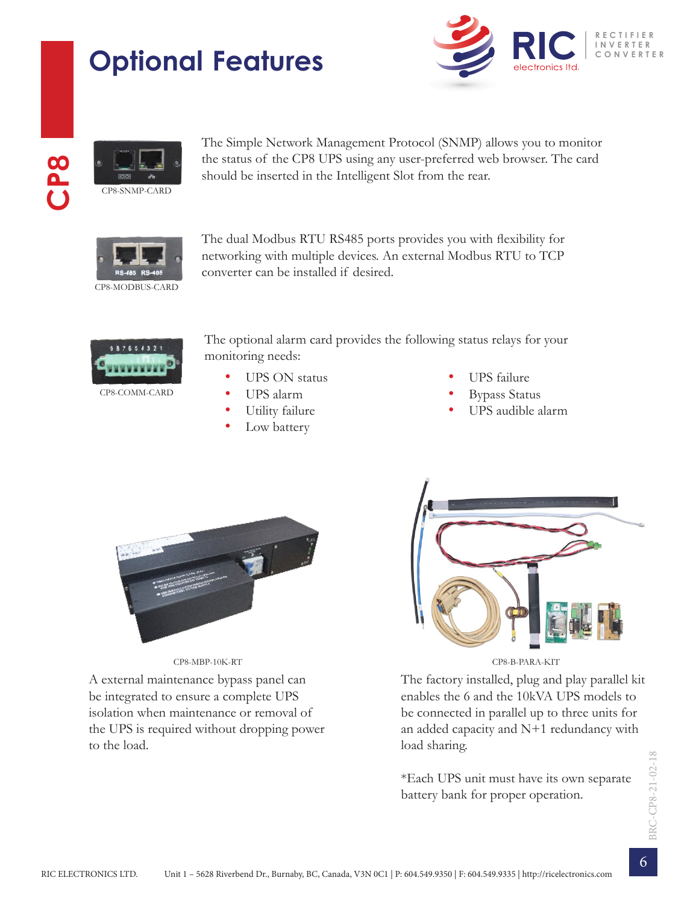## **Optional Features**







The Simple Network Management Protocol (SNMP) allows you to monitor the status of the CP8 UPS using any user-preferred web browser. The card should be inserted in the Intelligent Slot from the rear.



The dual Modbus RTU RS485 ports provides you with flexibility for networking with multiple devices. An external Modbus RTU to TCP converter can be installed if desired.



The optional alarm card provides the following status relays for your monitoring needs:

- UPS ON status
- UPS alarm
- Utility failure
- Low battery
- UPS failure
- Bypass Status
- UPS audible alarm



A external maintenance bypass panel can be integrated to ensure a complete UPS isolation when maintenance or removal of the UPS is required without dropping power to the load.



The factory installed, plug and play parallel kit enables the 6 and the 10kVA UPS models to be connected in parallel up to three units for an added capacity and  $N+1$  redundancy with load sharing.

\*Each UPS unit must have its own separate battery bank for proper operation.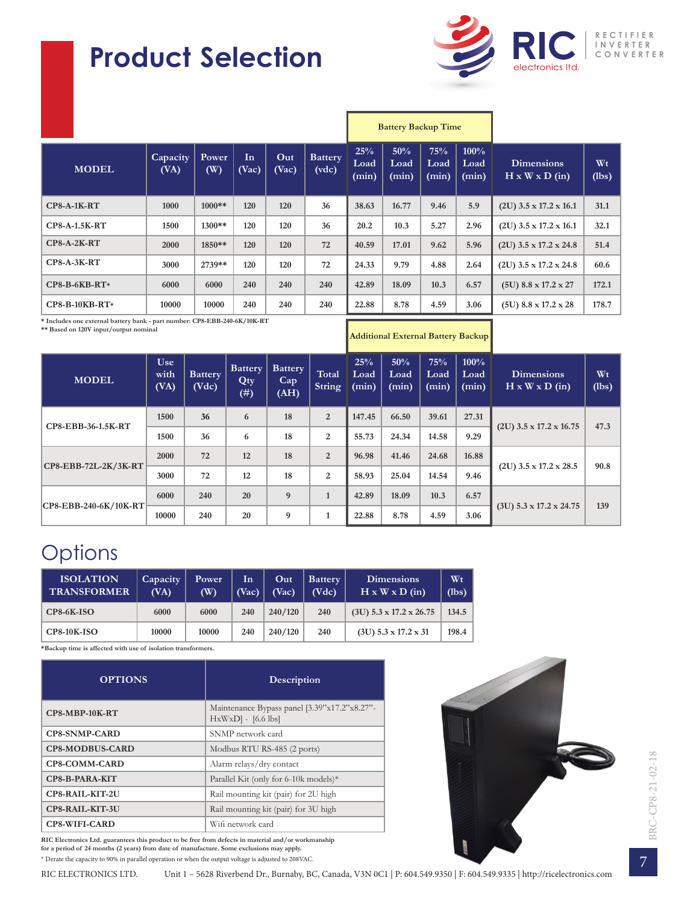### **Product Selection**



|                      |                  |              |             |              |                         |                      | <b>Battery Backup Time</b> |                      |                       |                                                 |             |
|----------------------|------------------|--------------|-------------|--------------|-------------------------|----------------------|----------------------------|----------------------|-----------------------|-------------------------------------------------|-------------|
| <b>MODEL</b>         | Capacity<br>(VA) | Power<br>(W) | In<br>(Vac) | Out<br>(Vac) | <b>Battery</b><br>(vdc) | 25%<br>Load<br>(min) | 50%<br>Load<br>(min)       | 75%<br>Load<br>(min) | 100%<br>Load<br>(min) | <b>Dimensions</b><br>$H \times W \times D$ (in) | Wt<br>(lbs) |
| $CP8-A-1K-RT$        | 1000             | $1000**$     | 120         | 120          | 36                      | 38.63                | 16.77                      | 9.46                 | 5.9                   | $(2U)$ 3.5 x 17.2 x 16.1                        | 31.1        |
| <b>CP8-A-1.5K-RT</b> | 1500             | 1300**       | 120         | 120          | 36                      | 20.2                 | 10.3                       | 5.27                 | 2.96                  | $(2U)$ 3.5 x 17.2 x 16.1                        | 32.1        |
| $CP8-A-2K-RT$        | 2000             | 1850**       | 120         | 120          | 72                      | 40.59                | 17.01                      | 9.62                 | 5.96                  | $(2U)$ 3.5 x 17.2 x 24.8                        | 51.4        |
| $CP8-A-3K-RT$        | 3000             | 2739**       | 120         | 120          | 72                      | 24.33                | 9.79                       | 4.88                 | 2.64                  | $(2U)$ 3.5 x 17.2 x 24.8                        | 60.6        |
| $CP8-B-6KB-RT*$      | 6000             | 6000         | 240         | 240          | 240                     | 42.89                | 18.09                      | 10.3                 | 6.57                  | $(5U)$ 8.8 x 17.2 x 27                          | 172.1       |
| CP8-B-10KB-RT*       | 10000            | 10000        | 240         | 240          | 240                     | 22.88                | 8.78                       | 4.59                 | 3.06                  | $(5U)$ 8.8 x 17.2 x 28                          | 178.7       |

**\* Includes one external battery bank - part number: CP8-EBB-240-6K/10K-RT \*\* Based on 120V input/output nominal**

**Additional External Battery Backup**

| <b>MODEL</b>              | <b>Use</b><br>with<br>(VA) | <b>Battery</b><br>(Vdc) | <b>Battery</b><br>Qty<br>$(\#)$ | Battery<br>Cap<br>(AH) | Total<br><b>String</b> | 25%<br>Load<br>(min) | 50%<br>Load<br>(min) | 75%<br>Load<br>(min) | 100%<br>Load<br>(min) | <b>Dimensions</b><br>$H \times W \times D$ (in) | Wt<br>(lbs) |
|---------------------------|----------------------------|-------------------------|---------------------------------|------------------------|------------------------|----------------------|----------------------|----------------------|-----------------------|-------------------------------------------------|-------------|
| CP8-EBB-36-1.5K-RT        | 1500                       | 36                      | 6                               | 18                     | $\overline{2}$         | 147.45               | 66.50                | 39.61                | 27.31                 | $(2U)$ 3.5 x 17.2 x 16.75                       | 47.3        |
|                           | 1500                       | 36                      | 6                               | 18                     | 2                      | 55.73                | 24.34                | 14.58                | 9.29                  |                                                 |             |
| $CP8$ -EBB-72L-2K/3K-RT   | 2000                       | 72                      | 12                              | 18                     | $\overline{2}$         | 96.98                | 41.46                | 24.68                | 16.88                 | $(2U)$ 3.5 x 17.2 x 28.5                        | 90.8        |
|                           | 3000                       | 72                      | 12                              | 18                     | $\mathbf{2}$           | 58.93                | 25.04                | 14.54                | 9.46                  |                                                 |             |
|                           | 6000                       | 240                     | 20                              | 9                      |                        | 42.89                | 18.09                | 10.3                 | 6.57                  |                                                 |             |
| $ CP8-EBB-240-6K/10K-RT $ | 10000                      | 240                     | 20                              | 9                      |                        | 22.88                | 8.78                 | 4.59                 | 3.06                  | $(3U)$ 5.3 x 17.2 x 24.75                       | 139         |

#### **Options**

| <b>ISOLATION</b><br><b>TRANSFORMER</b> | Capacity<br>(VA) | Power<br>$(\mathbf{W})$ | In<br>(Vac) | Out<br>(Vac) | <b>Battery</b><br>(Vdc) | <b>Dimensions</b><br>$H \times W \times D$ (in) | Wt<br>(lbs) |
|----------------------------------------|------------------|-------------------------|-------------|--------------|-------------------------|-------------------------------------------------|-------------|
| $CP8-6K-ISO$                           | 6000             | 6000                    | 240         | 240/120      | 240                     | $(3U)$ 5.3 x 17.2 x 26.75                       | 134.5       |
| $CP8-10K-ISO$                          | 10000            | 10000                   | 240         | 240/120      | 240                     | $(3U)$ 5.3 x 17.2 x 31                          | 198.4       |

**\*Backup time is affected with use of isolation transformers.**

| <b>OPTIONS</b>         | Description                                                           |  |  |
|------------------------|-----------------------------------------------------------------------|--|--|
| CP8-MBP-10K-RT         | Maintenance Bypass panel [3.39"x17.2"x8.27"-<br>$HxWxD$ ] - [6.6 lbs] |  |  |
| <b>CP8-SNMP-CARD</b>   | SNMP network card                                                     |  |  |
| <b>CP8-MODBUS-CARD</b> | Modbus RTU RS-485 (2 ports)                                           |  |  |
| CP8-COMM-CARD          | Alarm relays/dry contact                                              |  |  |
| CP8-B-PARA-KIT         | Parallel Kit (only for 6-10k models)*                                 |  |  |
| CP8-RAIL-KIT-2U        | Rail mounting kit (pair) for 2U high                                  |  |  |
| CP8-RAIL-KIT-3U        | Rail mounting kit (pair) for 3U high                                  |  |  |
| <b>CP8-WIFI-CARD</b>   | Wifi network card                                                     |  |  |

**RIC Electronics Ltd. guarantees this product to be free from defects in material and/or workmanship for a period of 24 months (2 years) from date of manufacture. Some exclusions may apply.**  \* Derate the capacity to 90% in parallel operation or when the output voltage is adjusted to 208VAC.

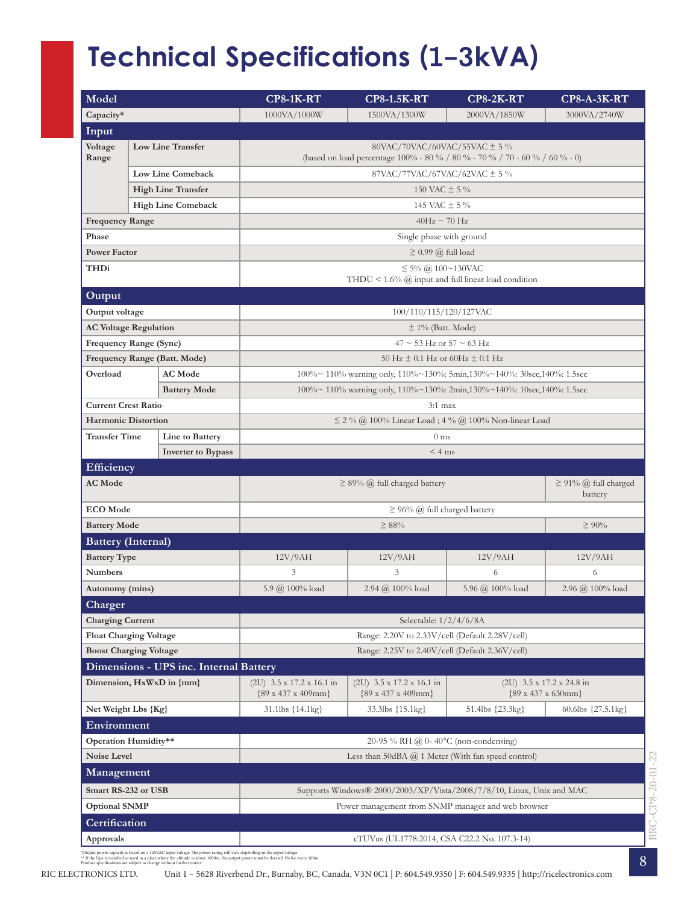### **Technical Specifications (1-3kVA)**

| Model                         |                                                              |                                        | <b>CP8-1K-RT</b>                                                                                                    | <b>CP8-1.5K-RT</b>                                                                                       | $CP8-2K-RT$                  | $CP8-A-3K-RT$                                                   |  |  |  |  |  |
|-------------------------------|--------------------------------------------------------------|----------------------------------------|---------------------------------------------------------------------------------------------------------------------|----------------------------------------------------------------------------------------------------------|------------------------------|-----------------------------------------------------------------|--|--|--|--|--|
| Capacity*                     | 1000VA/1000W<br>1500VA/1300W<br>2000VA/1850W<br>3000VA/2740W |                                        |                                                                                                                     |                                                                                                          |                              |                                                                 |  |  |  |  |  |
| Input                         |                                                              |                                        |                                                                                                                     |                                                                                                          |                              |                                                                 |  |  |  |  |  |
| Voltage<br>Range              |                                                              | Low Line Transfer                      | $80$ VAC/70VAC/60VAC/55VAC $\pm$ 5 %<br>(based on load percentage 100% - 80 % / 80 % - 70 % / 70 - 60 % / 60 % - 0) |                                                                                                          |                              |                                                                 |  |  |  |  |  |
| <b>Low Line Comeback</b>      |                                                              |                                        | 87VAC/77VAC/67VAC/62VAC ± 5 %                                                                                       |                                                                                                          |                              |                                                                 |  |  |  |  |  |
|                               |                                                              | <b>High Line Transfer</b>              | 150 VAC $\pm$ 5 %                                                                                                   |                                                                                                          |                              |                                                                 |  |  |  |  |  |
|                               |                                                              | <b>High Line Comeback</b>              | 145 VAC $\pm$ 5 %                                                                                                   |                                                                                                          |                              |                                                                 |  |  |  |  |  |
| <b>Frequency Range</b>        |                                                              |                                        |                                                                                                                     | $40Hz \sim 70 Hz$                                                                                        |                              |                                                                 |  |  |  |  |  |
| Phase                         |                                                              |                                        | Single phase with ground                                                                                            |                                                                                                          |                              |                                                                 |  |  |  |  |  |
| <b>Power Factor</b>           |                                                              |                                        | $\geq$ 0.99 @ full load                                                                                             |                                                                                                          |                              |                                                                 |  |  |  |  |  |
| THDi                          |                                                              |                                        |                                                                                                                     | $\leq$ 5% @ 100~130VAC<br>THDU < $1.6\%$ $\omega$ input and full linear load condition                   |                              |                                                                 |  |  |  |  |  |
| Output                        |                                                              |                                        |                                                                                                                     |                                                                                                          |                              |                                                                 |  |  |  |  |  |
| Output voltage                |                                                              |                                        |                                                                                                                     | 100/110/115/120/127VAC                                                                                   |                              |                                                                 |  |  |  |  |  |
| <b>AC Voltage Regulation</b>  |                                                              |                                        |                                                                                                                     | $\pm$ 1% (Batt. Mode)                                                                                    |                              |                                                                 |  |  |  |  |  |
| Frequency Range (Sync)        |                                                              |                                        |                                                                                                                     | $47 \sim 53$ Hz or $57 \sim 63$ Hz                                                                       |                              |                                                                 |  |  |  |  |  |
|                               |                                                              | Frequency Range (Batt. Mode)           |                                                                                                                     | 50 Hz $\pm$ 0.1 Hz or 60Hz $\pm$ 0.1 Hz                                                                  |                              |                                                                 |  |  |  |  |  |
| Overload                      |                                                              | <b>AC</b> Mode                         |                                                                                                                     | $100\% \sim 110\%$ warning only, $110\% \sim 130\%$ : 5min, $130\% \sim 140\%$ : 30sec, $140\%$ : 1.5sec |                              |                                                                 |  |  |  |  |  |
|                               |                                                              | <b>Battery Mode</b>                    |                                                                                                                     | $100\% \sim 110\%$ warning only, $110\% \sim 130\%$ : 2min, $130\% \sim 140\%$ : 10sec, $140\%$ : 1.5sec |                              |                                                                 |  |  |  |  |  |
| <b>Current Crest Ratio</b>    |                                                              |                                        |                                                                                                                     | $3:1$ max                                                                                                |                              |                                                                 |  |  |  |  |  |
| <b>Harmonic Distortion</b>    |                                                              |                                        | $\leq$ 2% @ 100% Linear Load; 4% @ 100% Non-linear Load                                                             |                                                                                                          |                              |                                                                 |  |  |  |  |  |
| <b>Transfer Time</b>          |                                                              | Line to Battery                        | 0 <sub>ms</sub>                                                                                                     |                                                                                                          |                              |                                                                 |  |  |  |  |  |
|                               |                                                              | <b>Inverter to Bypass</b>              | $< 4$ ms                                                                                                            |                                                                                                          |                              |                                                                 |  |  |  |  |  |
| Efficiency                    |                                                              |                                        |                                                                                                                     |                                                                                                          |                              |                                                                 |  |  |  |  |  |
| <b>AC</b> Mode                |                                                              |                                        | $\geq$ 91% @ full charged<br>$\geq$ 89% @ full charged battery<br>battery                                           |                                                                                                          |                              |                                                                 |  |  |  |  |  |
| <b>ECO</b> Mode               |                                                              |                                        | $\geq$ 96% @ full charged battery                                                                                   |                                                                                                          |                              |                                                                 |  |  |  |  |  |
| <b>Battery Mode</b>           |                                                              |                                        | $\geq 90\%$<br>$\geq 88\%$                                                                                          |                                                                                                          |                              |                                                                 |  |  |  |  |  |
| <b>Battery</b> (Internal)     |                                                              |                                        |                                                                                                                     |                                                                                                          |                              |                                                                 |  |  |  |  |  |
| <b>Battery Type</b>           |                                                              |                                        |                                                                                                                     | 12V/9AH<br>12V/9AH<br>12V/9AH                                                                            |                              | 12V/9AH                                                         |  |  |  |  |  |
| <b>Numbers</b>                |                                                              |                                        | $\mathfrak{Z}$                                                                                                      | 3                                                                                                        | 6                            | 6                                                               |  |  |  |  |  |
| Autonomy (mins)               |                                                              |                                        | 5.9 @ 100% load                                                                                                     | 2.94 @ 100% load                                                                                         | 5.96 @ 100% load             | 2.96 @ 100% load                                                |  |  |  |  |  |
| Charger                       |                                                              |                                        |                                                                                                                     |                                                                                                          |                              |                                                                 |  |  |  |  |  |
| <b>Charging Current</b>       |                                                              |                                        | Selectable: $1/2/4/6/8A$                                                                                            |                                                                                                          |                              |                                                                 |  |  |  |  |  |
| <b>Float Charging Voltage</b> |                                                              |                                        | Range: 2.20V to 2.33V/cell (Default 2.28V/cell)                                                                     |                                                                                                          |                              |                                                                 |  |  |  |  |  |
| <b>Boost Charging Voltage</b> |                                                              |                                        | Range: 2.25V to 2.40V/cell (Default 2.36V/cell)                                                                     |                                                                                                          |                              |                                                                 |  |  |  |  |  |
|                               |                                                              | Dimensions - UPS inc. Internal Battery |                                                                                                                     |                                                                                                          |                              |                                                                 |  |  |  |  |  |
|                               |                                                              | Dimension, HxWxD in {mm}               | $(2U)$ 3.5 x 17.2 x 16.1 in<br>$\{89 \times 437 \times 409 \text{mm}\}\$                                            | $(2U)$ 3.5 x 17.2 x 16.1 in<br>$\{89 \times 437 \times 409$ mm}                                          |                              | $(2U)$ 3.5 x 17.2 x 24.8 in<br>$\{89 \times 437 \times 630$ mm} |  |  |  |  |  |
| Net Weight Lbs {Kg}           |                                                              |                                        | 31.1lbs {14.1kg}                                                                                                    | 33.3lbs {15.1kg}                                                                                         | 51.4lbs $\{23.3\text{kg}\}\$ | 60.6lbs {27.5.1kg}                                              |  |  |  |  |  |
| Environment                   |                                                              |                                        |                                                                                                                     |                                                                                                          |                              |                                                                 |  |  |  |  |  |
| Operation Humidity**          |                                                              |                                        | 20-95 % RH @ 0-40 $\degree$ C (non-condensing)                                                                      |                                                                                                          |                              |                                                                 |  |  |  |  |  |
| Noise Level                   |                                                              |                                        | Less than $50\text{dBA}$ $\omega$ 1 Meter (With fan speed control)                                                  |                                                                                                          |                              |                                                                 |  |  |  |  |  |
| Management                    |                                                              |                                        |                                                                                                                     |                                                                                                          |                              |                                                                 |  |  |  |  |  |
| Smart RS-232 or USB           |                                                              |                                        | Supports Windows $\&$ 2000/2003/XP/Vista/2008/7/8/10, Linux, Unix and MAC                                           |                                                                                                          |                              |                                                                 |  |  |  |  |  |
| <b>Optional SNMP</b>          |                                                              |                                        |                                                                                                                     | Power management from SNMP manager and web browser                                                       |                              |                                                                 |  |  |  |  |  |
| Certification                 |                                                              |                                        |                                                                                                                     |                                                                                                          |                              |                                                                 |  |  |  |  |  |
| Approvals                     |                                                              |                                        | cTUVus (UL1778:2014, CSA C22.2 No. 107.3-14)                                                                        |                                                                                                          |                              |                                                                 |  |  |  |  |  |

\*Output power capacity is based on a 120VAC input voltage. The power rating will vary depending on the input voltage.<br>\*\* If the Ups is installed or used in a place where the alitiude is above 1000m, the output power must b

8